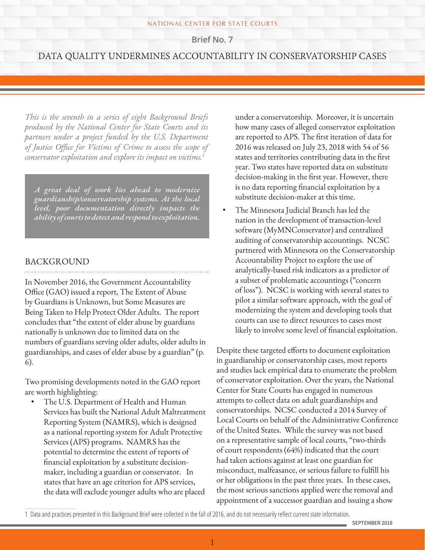#### NATIONAL CENTER FOR STATE COURTS

**Brief No. 7**

# DATA QUALITY UNDERMINES ACCOUNTABILITY IN CONSERVATORSHIP CASES

*This is the seventh in a series of eight Background Briefs produced by the National Center for State Courts and its partners under a project funded by the U.S. Department of Justice Office for Victims of Crime to assess the scope of conservator exploitation and explore its impact on victims.1*

*A great deal of work lies ahead to modernize guardianship/conservatorship systems. At the local level, poor documentation directly impacts the ability of courts to detect and respond to exploitation.*

### BACKGROUND

In November 2016, the Government Accountability Office (GAO) issued a report, The Extent of Abuse by Guardians is Unknown, but Some Measures are Being Taken to Help Protect Older Adults. The report concludes that "the extent of elder abuse by guardians nationally is unknown due to limited data on the numbers of guardians serving older adults, older adults in guardianships, and cases of elder abuse by a guardian" (p. 6).

Two promising developments noted in the GAO report are worth highlighting:

• The U.S. Department of Health and Human Services has built the National Adult Maltreatment Reporting System (NAMRS), which is designed as a national reporting system for Adult Protective Services (APS) programs. NAMRS has the potential to determine the extent of reports of financial exploitation by a substitute decisionmaker, including a guardian or conservator. In states that have an age criterion for APS services, the data will exclude younger adults who are placed

under a conservatorship. Moreover, it is uncertain how many cases of alleged conservator exploitation are reported to APS. The first iteration of data for 2016 was released on July 23, 2018 with 54 of 56 states and territories contributing data in the first year. Two states have reported data on substitute decision-making in the first year. However, there is no data reporting financial exploitation by a substitute decision-maker at this time.

• The Minnesota Judicial Branch has led the nation in the development of transaction-level software (MyMNConservator) and centralized auditing of conservatorship accountings. NCSC partnered with Minnesota on the Conservatorship Accountability Project to explore the use of analytically-based risk indicators as a predictor of a subset of problematic accountings ("concern of loss"). NCSC is working with several states to pilot a similar software approach, with the goal of modernizing the system and developing tools that courts can use to direct resources to cases most likely to involve some level of financial exploitation.

Despite these targeted efforts to document exploitation in guardianship or conservatorship cases, most reports and studies lack empirical data to enumerate the problem of conservator exploitation. Over the years, the National Center for State Courts has engaged in numerous attempts to collect data on adult guardianships and conservatorships. NCSC conducted a 2014 Survey of Local Courts on behalf of the Administrative Conference of the United States. While the survey was not based on a representative sample of local courts, "two-thirds of court respondents (64%) indicated that the court had taken actions against at least one guardian for misconduct, malfeasance, or serious failure to fulfill his or her obligations in the past three years. In these cases, the most serious sanctions applied were the removal and appointment of a successor guardian and issuing a show

<sup>1</sup> Data and practices presented in this Background Brief were collected in the fall of 2016, and do not necessarily reflect current state information.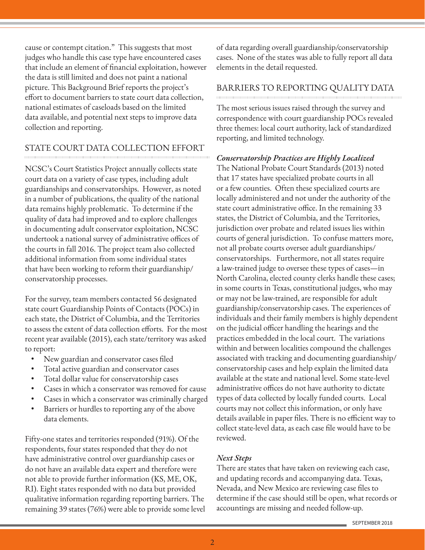cause or contempt citation." This suggests that most judges who handle this case type have encountered cases that include an element of financial exploitation, however the data is still limited and does not paint a national picture. This Background Brief reports the project's effort to document barriers to state court data collection, national estimates of caseloads based on the limited data available, and potential next steps to improve data collection and reporting.

# STATE COURT DATA COLLECTION EFFORT

NCSC's Court Statistics Project annually collects state court data on a variety of case types, including adult guardianships and conservatorships. However, as noted in a number of publications, the quality of the national data remains highly problematic. To determine if the quality of data had improved and to explore challenges in documenting adult conservator exploitation, NCSC undertook a national survey of administrative offices of the courts in fall 2016. The project team also collected additional information from some individual states that have been working to reform their guardianship/ conservatorship processes.

For the survey, team members contacted 56 designated state court Guardianship Points of Contacts (POCs) in each state, the District of Columbia, and the Territories to assess the extent of data collection efforts. For the most recent year available (2015), each state/territory was asked to report:

- New guardian and conservator cases filed
- Total active guardian and conservator cases
- Total dollar value for conservatorship cases
- Cases in which a conservator was removed for cause
- Cases in which a conservator was criminally charged
- Barriers or hurdles to reporting any of the above data elements.

Fifty-one states and territories responded (91%). Of the respondents, four states responded that they do not have administrative control over guardianship cases or do not have an available data expert and therefore were not able to provide further information (KS, ME, OK, RI). Eight states responded with no data but provided qualitative information regarding reporting barriers. The remaining 39 states (76%) were able to provide some level of data regarding overall guardianship/conservatorship cases. None of the states was able to fully report all data elements in the detail requested.

### BARRIERS TO REPORTING QUALITY DATA

The most serious issues raised through the survey and correspondence with court guardianship POCs revealed three themes: local court authority, lack of standardized reporting, and limited technology.

*Conservatorship Practices are Highly Localized*

The National Probate Court Standards (2013) noted that 17 states have specialized probate courts in all or a few counties. Often these specialized courts are locally administered and not under the authority of the state court administrative office. In the remaining 33 states, the District of Columbia, and the Territories, jurisdiction over probate and related issues lies within courts of general jurisdiction. To confuse matters more, not all probate courts oversee adult guardianships/ conservatorships. Furthermore, not all states require a law-trained judge to oversee these types of cases—in North Carolina, elected county clerks handle these cases; in some courts in Texas, constitutional judges, who may or may not be law-trained, are responsible for adult guardianship/conservatorship cases. The experiences of individuals and their family members is highly dependent on the judicial officer handling the hearings and the practices embedded in the local court. The variations within and between localities compound the challenges associated with tracking and documenting guardianship/ conservatorship cases and help explain the limited data available at the state and national level. Some state-level administrative offices do not have authority to dictate types of data collected by locally funded courts. Local courts may not collect this information, or only have details available in paper files. There is no efficient way to collect state-level data, as each case file would have to be reviewed.

### *Next Steps*

There are states that have taken on reviewing each case, and updating records and accompanying data. Texas, Nevada, and New Mexico are reviewing case files to determine if the case should still be open, what records or accountings are missing and needed follow-up.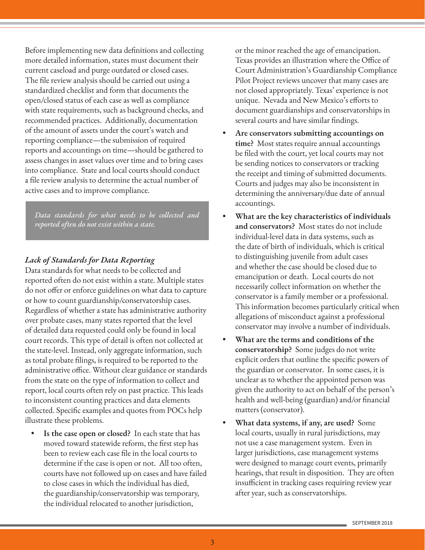Before implementing new data definitions and collecting more detailed information, states must document their current caseload and purge outdated or closed cases. The file review analysis should be carried out using a standardized checklist and form that documents the open/closed status of each case as well as compliance with state requirements, such as background checks, and recommended practices. Additionally, documentation of the amount of assets under the court's watch and reporting compliance—the submission of required reports and accountings on time—should be gathered to assess changes in asset values over time and to bring cases into compliance. State and local courts should conduct a file review analysis to determine the actual number of active cases and to improve compliance.

*Data standards for what needs to be collected and reported often do not exist within a state.*

### *Lack of Standards for Data Reporting*

Data standards for what needs to be collected and reported often do not exist within a state. Multiple states do not offer or enforce guidelines on what data to capture or how to count guardianship/conservatorship cases. Regardless of whether a state has administrative authority over probate cases, many states reported that the level of detailed data requested could only be found in local court records. This type of detail is often not collected at the state-level. Instead, only aggregate information, such as total probate filings, is required to be reported to the administrative office. Without clear guidance or standards from the state on the type of information to collect and report, local courts often rely on past practice. This leads to inconsistent counting practices and data elements collected. Specific examples and quotes from POCs help illustrate these problems.

**• Is the case open or closed?** In each state that has moved toward statewide reform, the first step has been to review each case file in the local courts to determine if the case is open or not. All too often, courts have not followed up on cases and have failed to close cases in which the individual has died, the guardianship/conservatorship was temporary, the individual relocated to another jurisdiction,

or the minor reached the age of emancipation. Texas provides an illustration where the Office of Court Administration's Guardianship Compliance Pilot Project reviews uncover that many cases are not closed appropriately. Texas' experience is not unique. Nevada and New Mexico's efforts to document guardianships and conservatorships in several courts and have similar findings.

- **• Are conservators submitting accountings on time?** Most states require annual accountings be filed with the court, yet local courts may not be sending notices to conservators or tracking the receipt and timing of submitted documents. Courts and judges may also be inconsistent in determining the anniversary/due date of annual accountings.
- **• What are the key characteristics of individuals and conservators?** Most states do not include individual-level data in data systems, such as the date of birth of individuals, which is critical to distinguishing juvenile from adult cases and whether the case should be closed due to emancipation or death. Local courts do not necessarily collect information on whether the conservator is a family member or a professional. This information becomes particularly critical when allegations of misconduct against a professional conservator may involve a number of individuals.
- **• What are the terms and conditions of the conservatorship?** Some judges do not write explicit orders that outline the specific powers of the guardian or conservator. In some cases, it is unclear as to whether the appointed person was given the authority to act on behalf of the person's health and well-being (guardian) and/or financial matters (conservator).
- **• What data systems, if any, are used?** Some local courts, usually in rural jurisdictions, may not use a case management system. Even in larger jurisdictions, case management systems were designed to manage court events, primarily hearings, that result in disposition. They are often insufficient in tracking cases requiring review year after year, such as conservatorships.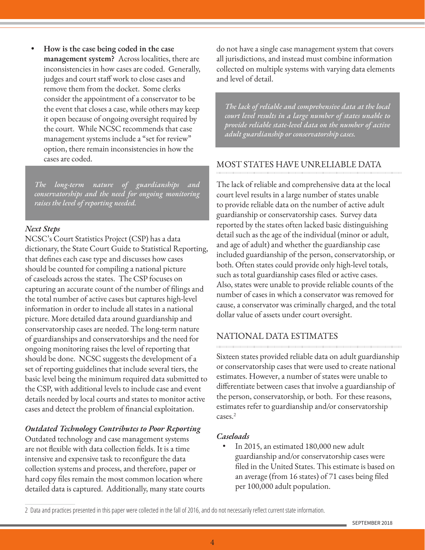**• How is the case being coded in the case management system?** Across localities, there are inconsistencies in how cases are coded. Generally, judges and court staff work to close cases and remove them from the docket. Some clerks consider the appointment of a conservator to be the event that closes a case, while others may keep it open because of ongoing oversight required by the court. While NCSC recommends that case management systems include a "set for review" option, there remain inconsistencies in how the cases are coded.

*The long-term nature of guardianships and conservatorships and the need for ongoing monitoring raises the level of reporting needed.*

#### *Next Steps*

NCSC's Court Statistics Project (CSP) has a data dictionary, the State Court Guide to Statistical Reporting, that defines each case type and discusses how cases should be counted for compiling a national picture of caseloads across the states. The CSP focuses on capturing an accurate count of the number of filings and the total number of active cases but captures high-level information in order to include all states in a national picture. More detailed data around guardianship and conservatorship cases are needed. The long-term nature of guardianships and conservatorships and the need for ongoing monitoring raises the level of reporting that should be done. NCSC suggests the development of a set of reporting guidelines that include several tiers, the basic level being the minimum required data submitted to the CSP, with additional levels to include case and event details needed by local courts and states to monitor active cases and detect the problem of financial exploitation.

### *Outdated Technology Contributes to Poor Reporting*

Outdated technology and case management systems are not flexible with data collection fields. It is a time intensive and expensive task to reconfigure the data collection systems and process, and therefore, paper or hard copy files remain the most common location where detailed data is captured. Additionally, many state courts do not have a single case management system that covers all jurisdictions, and instead must combine information collected on multiple systems with varying data elements and level of detail.

*The lack of reliable and comprehensive data at the local court level results in a large number of states unable to provide reliable state-level data on the number of active adult guardianship or conservatorship cases.* 

### MOST STATES HAVE UNRELIABLE DATA

The lack of reliable and comprehensive data at the local court level results in a large number of states unable to provide reliable data on the number of active adult guardianship or conservatorship cases. Survey data reported by the states often lacked basic distinguishing detail such as the age of the individual (minor or adult, and age of adult) and whether the guardianship case included guardianship of the person, conservatorship, or both. Often states could provide only high-level totals, such as total guardianship cases filed or active cases. Also, states were unable to provide reliable counts of the number of cases in which a conservator was removed for cause, a conservator was criminally charged, and the total dollar value of assets under court oversight.

# NATIONAL DATA ESTIMATES

Sixteen states provided reliable data on adult guardianship or conservatorship cases that were used to create national estimates. However, a number of states were unable to differentiate between cases that involve a guardianship of the person, conservatorship, or both. For these reasons, estimates refer to guardianship and/or conservatorship cases.<sup>2</sup>

#### *Caseloads*

• In 2015, an estimated 180,000 new adult guardianship and/or conservatorship cases were filed in the United States. This estimate is based on an average (from 16 states) of 71 cases being filed per 100,000 adult population.

<sup>2</sup> Data and practices presented in this paper were collected in the fall of 2016, and do not necessarily reflect current state information.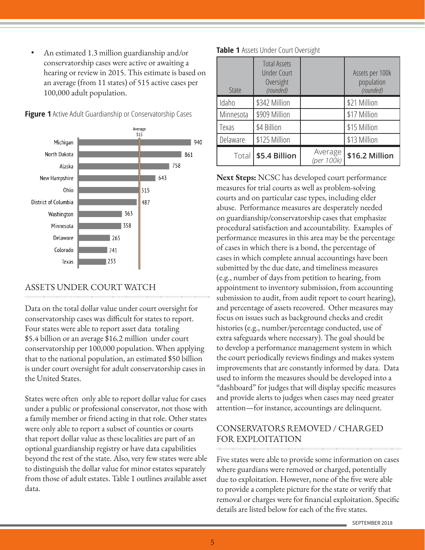• An estimated 1.3 million guardianship and/or conservatorship cases were active or awaiting a hearing or review in 2015. This estimate is based on an average (from 11 states) of 515 active cases per 100,000 adult population.



**Figure 1** Active Adult Guardianship or Conservatorship Cases

### ASSETS UNDER COURT WATCH

Data on the total dollar value under court oversight for conservatorship cases was difficult for states to report. Four states were able to report asset data totaling \$5.4 billion or an average \$16.2 million under court conservatorship per 100,000 population. When applying that to the national population, an estimated \$50 billion is under court oversight for adult conservatorship cases in the United States.

States were often only able to report dollar value for cases under a public or professional conservator, not those with a family member or friend acting in that role. Other states were only able to report a subset of counties or courts that report dollar value as these localities are part of an optional guardianship registry or have data capabilities beyond the rest of the state. Also, very few states were able to distinguish the dollar value for minor estates separately from those of adult estates. Table 1 outlines available asset data.

| State     | <b>Total Assets</b><br><b>Under Court</b><br>Oversight<br>(rounded) |                       | Assets per 100k<br>population<br>(rounded) |
|-----------|---------------------------------------------------------------------|-----------------------|--------------------------------------------|
| Idaho     | \$342 Million                                                       |                       | \$21 Million                               |
| Minnesota | \$909 Million                                                       |                       | \$17 Million                               |
| Texas     | \$4 Billion                                                         |                       | \$15 Million                               |
| Delaware  | \$125 Million                                                       |                       | \$13 Million                               |
| Total     | \$5.4 Billion                                                       | Average<br>(per 100k) | \$16.2 Million                             |

**Table 1** Assets Under Court Oversight

**Next Steps:** NCSC has developed court performance measures for trial courts as well as problem-solving courts and on particular case types, including elder abuse. Performance measures are desperately needed on guardianship/conservatorship cases that emphasize procedural satisfaction and accountability. Examples of performance measures in this area may be the percentage of cases in which there is a bond, the percentage of cases in which complete annual accountings have been submitted by the due date, and timeliness measures (e.g., number of days from petition to hearing, from appointment to inventory submission, from accounting submission to audit, from audit report to court hearing), and percentage of assets recovered. Other measures may focus on issues such as background checks and credit histories (e.g., number/percentage conducted, use of extra safeguards where necessary). The goal should be to develop a performance management system in which the court periodically reviews findings and makes system improvements that are constantly informed by data. Data used to inform the measures should be developed into a "dashboard" for judges that will display specific measures and provide alerts to judges when cases may need greater attention—for instance, accountings are delinquent.

# CONSERVATORS REMOVED / CHARGED FOR EXPLOITATION

Five states were able to provide some information on cases where guardians were removed or charged, potentially due to exploitation. However, none of the five were able to provide a complete picture for the state or verify that removal or charges were for financial exploitation. Specific details are listed below for each of the five states.